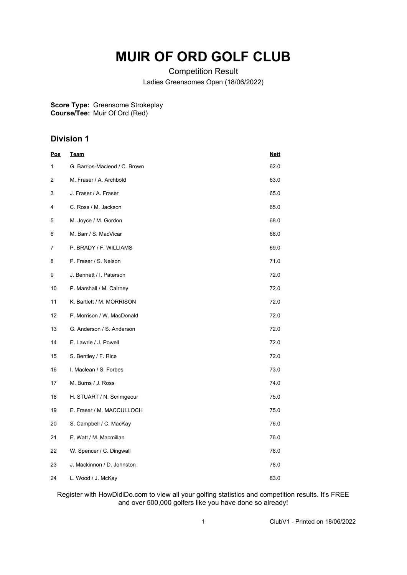## **MUIR OF ORD GOLF CLUB**

Competition Result Ladies Greensomes Open (18/06/2022)

**Score Type: Course/Tee:** Greensome Strokeplay Muir Of Ord (Red)

## **Division 1**

| <u>Pos</u> | <u>Team</u>                   | <u>Nett</u> |
|------------|-------------------------------|-------------|
| 1          | G. Barrios-Macleod / C. Brown | 62.0        |
| 2          | M. Fraser / A. Archbold       | 63.0        |
| 3          | J. Fraser / A. Fraser         | 65.0        |
| 4          | C. Ross / M. Jackson          | 65.0        |
| 5          | M. Joyce / M. Gordon          | 68.0        |
| 6          | M. Barr / S. MacVicar         | 68.0        |
| 7          | P. BRADY / F. WILLIAMS        | 69.0        |
| 8          | P. Fraser / S. Nelson         | 71.0        |
| 9          | J. Bennett / I. Paterson      | 72.0        |
| 10         | P. Marshall / M. Cairney      | 72.0        |
| 11         | K. Bartlett / M. MORRISON     | 72.0        |
| 12         | P. Morrison / W. MacDonald    | 72.0        |
| 13         | G. Anderson / S. Anderson     | 72.0        |
| 14         | E. Lawrie / J. Powell         | 72.0        |
| 15         | S. Bentley / F. Rice          | 72.0        |
| 16         | I. Maclean / S. Forbes        | 73.0        |
| 17         | M. Burns / J. Ross            | 74.0        |
| 18         | H. STUART / N. Scrimgeour     | 75.0        |
| 19         | E. Fraser / M. MACCULLOCH     | 75.0        |
| 20         | S. Campbell / C. MacKay       | 76.0        |
| 21         | E. Watt / M. Macmillan        | 76.0        |
| 22         | W. Spencer / C. Dingwall      | 78.0        |
| 23         | J. Mackinnon / D. Johnston    | 78.0        |
| 24         | L. Wood / J. McKay            | 83.0        |

Register with HowDidiDo.com to view all your golfing statistics and competition results. It's FREE and over 500,000 golfers like you have done so already!